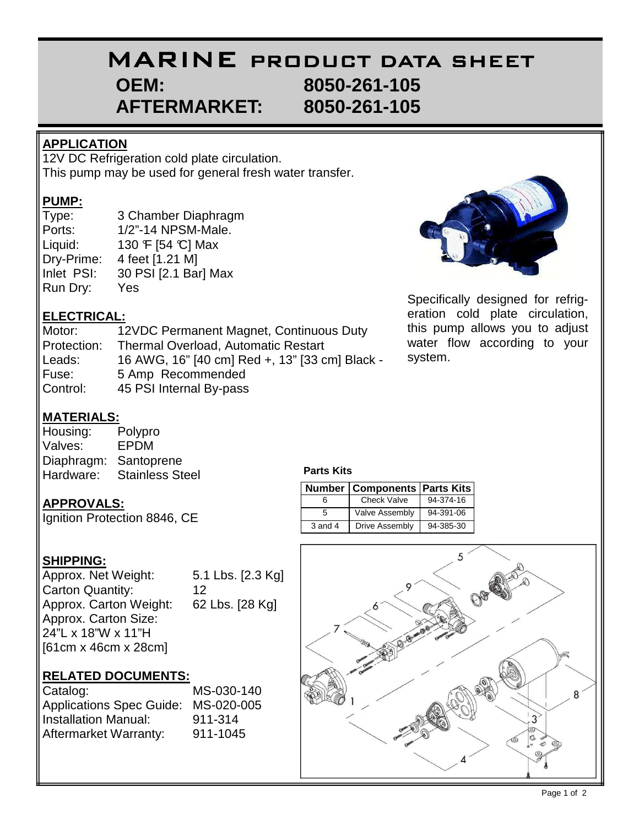# MARINE PRODUCT DATA SHEET  **OEM: 8050-261-105 AFTERMARKET: 8050-261-105**

#### **APPLICATION**

12V DC Refrigeration cold plate circulation. This pump may be used for general fresh water transfer.

#### **PUMP:**

Type: 3 Chamber Diaphragm Ports: 1/2"-14 NPSM-Male. Liquid:  $130 \text{ } \mathsf{F}$  [54 °C] Max Dry-Prime: 4 feet [1.21 M] Inlet PSI: 30 PSI [2.1 Bar] Max Run Dry: Yes

## **ELECTRICAL:**

Motor: 12VDC Permanent Magnet, Continuous Duty Protection: Thermal Overload, Automatic Restart Leads: 16 AWG, 16" [40 cm] Red +, 13" [33 cm] Black - Fuse: 5 Amp Recommended Control: 45 PSI Internal By-pass



Specifically designed for refrigeration cold plate circulation, this pump allows you to adjust water flow according to your system.

### **MATERIALS:**

| Housing:   | Polypro                |
|------------|------------------------|
| Valves:    | <b>EPDM</b>            |
| Diaphragm: | Santoprene             |
| Hardware:  | <b>Stainless Steel</b> |

#### **APPROVALS:**

Ignition Protection 8846, CE

#### **SHIPPING:**

| Approx. Net Weight:     | 5.1 Lbs. [2.3 Kg] |
|-------------------------|-------------------|
| <b>Carton Quantity:</b> | 12                |
| Approx. Carton Weight:  | 62 Lbs. [28 Kg]   |
| Approx. Carton Size:    |                   |
| 24"L x 18"W x 11"H      |                   |
| [61cm x 46cm x 28cm]    |                   |

#### **RELATED DOCUMENTS:**

| Catalog:                        | MS-030-140 |
|---------------------------------|------------|
| <b>Applications Spec Guide:</b> | MS-020-005 |
| Installation Manual:            | 911-314    |
| Aftermarket Warranty:           | 911-1045   |

#### **Parts Kits**

|             | <b>Number   Components   Parts Kits</b> |           |
|-------------|-----------------------------------------|-----------|
|             | <b>Check Valve</b>                      | 94-374-16 |
| 5           | <b>Valve Assembly</b>                   | 94-391-06 |
| $3$ and $4$ | Drive Assembly                          | 94-385-30 |